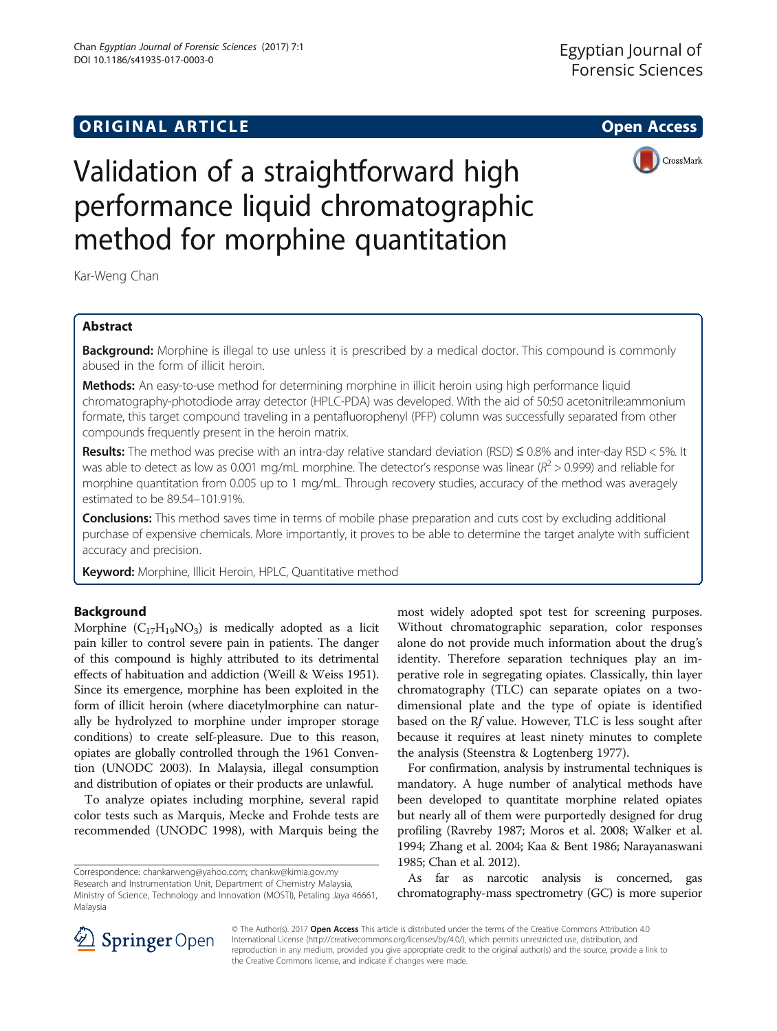# **ORIGINAL ARTICLE CONSERVANCE IN A LOCAL CONSERVANCE IN A LOCAL CONSERVANCE IN A LOCAL CONSERVANCE IN A LOCAL CONS**



# Validation of a straightforward high performance liquid chromatographic method for morphine quantitation

Kar-Weng Chan

# Abstract

**Background:** Morphine is illegal to use unless it is prescribed by a medical doctor. This compound is commonly abused in the form of illicit heroin.

Methods: An easy-to-use method for determining morphine in illicit heroin using high performance liquid chromatography-photodiode array detector (HPLC-PDA) was developed. With the aid of 50:50 acetonitrile:ammonium formate, this target compound traveling in a pentafluorophenyl (PFP) column was successfully separated from other compounds frequently present in the heroin matrix.

Results: The method was precise with an intra-day relative standard deviation (RSD)  $\leq$  0.8% and inter-day RSD < 5%. It was able to detect as low as 0.001 mg/mL morphine. The detector's response was linear ( $R^2 > 0.999$ ) and reliable for morphine quantitation from 0.005 up to 1 mg/mL. Through recovery studies, accuracy of the method was averagely estimated to be 89.54–101.91%.

Conclusions: This method saves time in terms of mobile phase preparation and cuts cost by excluding additional purchase of expensive chemicals. More importantly, it proves to be able to determine the target analyte with sufficient accuracy and precision.

Keyword: Morphine, Illicit Heroin, HPLC, Quantitative method

# Background

Morphine  $(C_{17}H_{19}NO_3)$  is medically adopted as a licit pain killer to control severe pain in patients. The danger of this compound is highly attributed to its detrimental effects of habituation and addiction (Weill & Weiss [1951](#page-5-0)). Since its emergence, morphine has been exploited in the form of illicit heroin (where diacetylmorphine can naturally be hydrolyzed to morphine under improper storage conditions) to create self-pleasure. Due to this reason, opiates are globally controlled through the 1961 Convention (UNODC [2003\)](#page-5-0). In Malaysia, illegal consumption and distribution of opiates or their products are unlawful.

To analyze opiates including morphine, several rapid color tests such as Marquis, Mecke and Frohde tests are recommended (UNODC [1998](#page-5-0)), with Marquis being the

most widely adopted spot test for screening purposes. Without chromatographic separation, color responses alone do not provide much information about the drug's identity. Therefore separation techniques play an imperative role in segregating opiates. Classically, thin layer chromatography (TLC) can separate opiates on a twodimensional plate and the type of opiate is identified based on the Rf value. However, TLC is less sought after because it requires at least ninety minutes to complete the analysis (Steenstra & Logtenberg [1977](#page-5-0)).

For confirmation, analysis by instrumental techniques is mandatory. A huge number of analytical methods have been developed to quantitate morphine related opiates but nearly all of them were purportedly designed for drug profiling (Ravreby [1987](#page-5-0); Moros et al. [2008;](#page-5-0) Walker et al. [1994;](#page-5-0) Zhang et al. [2004](#page-5-0); Kaa & Bent [1986;](#page-5-0) Narayanaswani [1985;](#page-5-0) Chan et al. [2012\)](#page-5-0).

As far as narcotic analysis is concerned, gas chromatography-mass spectrometry (GC) is more superior



© The Author(s). 2017 Open Access This article is distributed under the terms of the Creative Commons Attribution 4.0 International License ([http://creativecommons.org/licenses/by/4.0/\)](http://creativecommons.org/licenses/by/4.0/), which permits unrestricted use, distribution, and reproduction in any medium, provided you give appropriate credit to the original author(s) and the source, provide a link to the Creative Commons license, and indicate if changes were made.

Correspondence: [chankarweng@yahoo.com;](mailto:chankarweng@yahoo.com) [chankw@kimia.gov.my](mailto:chankw@kimia.gov.my) Research and Instrumentation Unit, Department of Chemistry Malaysia, Ministry of Science, Technology and Innovation (MOSTI), Petaling Jaya 46661, Malaysia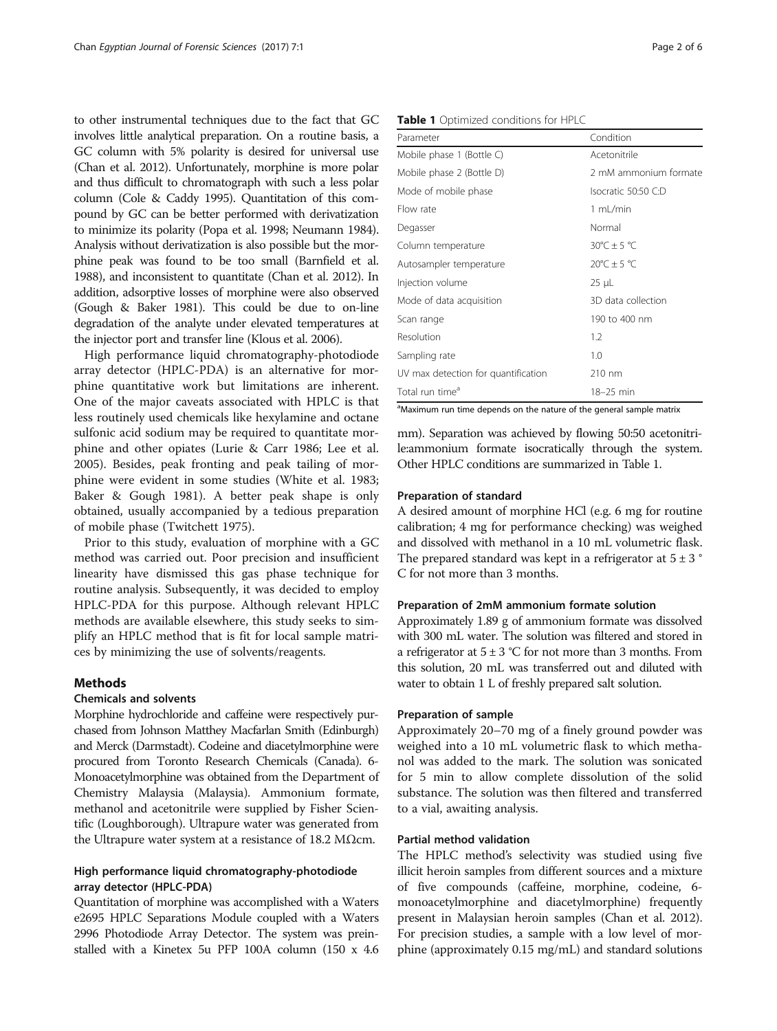to other instrumental techniques due to the fact that GC involves little analytical preparation. On a routine basis, a GC column with 5% polarity is desired for universal use (Chan et al. [2012](#page-5-0)). Unfortunately, morphine is more polar and thus difficult to chromatograph with such a less polar column (Cole & Caddy [1995\)](#page-5-0). Quantitation of this compound by GC can be better performed with derivatization to minimize its polarity (Popa et al. [1998](#page-5-0); Neumann [1984](#page-5-0)). Analysis without derivatization is also possible but the morphine peak was found to be too small (Barnfield et al. [1988\)](#page-5-0), and inconsistent to quantitate (Chan et al. [2012\)](#page-5-0). In addition, adsorptive losses of morphine were also observed (Gough & Baker [1981](#page-5-0)). This could be due to on-line degradation of the analyte under elevated temperatures at the injector port and transfer line (Klous et al. [2006](#page-5-0)).

High performance liquid chromatography-photodiode array detector (HPLC-PDA) is an alternative for morphine quantitative work but limitations are inherent. One of the major caveats associated with HPLC is that less routinely used chemicals like hexylamine and octane sulfonic acid sodium may be required to quantitate morphine and other opiates (Lurie & Carr [1986;](#page-5-0) Lee et al. [2005](#page-5-0)). Besides, peak fronting and peak tailing of morphine were evident in some studies (White et al. [1983](#page-5-0); Baker & Gough [1981](#page-5-0)). A better peak shape is only obtained, usually accompanied by a tedious preparation of mobile phase (Twitchett [1975](#page-5-0)).

Prior to this study, evaluation of morphine with a GC method was carried out. Poor precision and insufficient linearity have dismissed this gas phase technique for routine analysis. Subsequently, it was decided to employ HPLC-PDA for this purpose. Although relevant HPLC methods are available elsewhere, this study seeks to simplify an HPLC method that is fit for local sample matrices by minimizing the use of solvents/reagents.

#### Methods

## Chemicals and solvents

Morphine hydrochloride and caffeine were respectively purchased from Johnson Matthey Macfarlan Smith (Edinburgh) and Merck (Darmstadt). Codeine and diacetylmorphine were procured from Toronto Research Chemicals (Canada). 6- Monoacetylmorphine was obtained from the Department of Chemistry Malaysia (Malaysia). Ammonium formate, methanol and acetonitrile were supplied by Fisher Scientific (Loughborough). Ultrapure water was generated from the Ultrapure water system at a resistance of 18.2 MΩcm.

## High performance liquid chromatography-photodiode array detector (HPLC-PDA)

Quantitation of morphine was accomplished with a Waters e2695 HPLC Separations Module coupled with a Waters 2996 Photodiode Array Detector. The system was preinstalled with a Kinetex 5u PFP 100A column (150 x 4.6

#### Table 1 Optimized conditions for HPLC

| Parameter                           | Condition                           |
|-------------------------------------|-------------------------------------|
| Mobile phase 1 (Bottle C)           | Acetonitrile                        |
| Mobile phase 2 (Bottle D)           | 2 mM ammonium formate               |
| Mode of mobile phase                | Isocratic 50:50 C:D                 |
| Flow rate                           | 1 mL/min                            |
| Degasser                            | Normal                              |
| Column temperature                  | $30^{\circ}$ C ± 5 °C               |
| Autosampler temperature             | $20^{\circ}$ C $\pm$ 5 $^{\circ}$ C |
| Injection volume                    | $25 \mu L$                          |
| Mode of data acquisition            | 3D data collection                  |
| Scan range                          | 190 to 400 nm                       |
| Resolution                          | 1.2                                 |
| Sampling rate                       | 1.0                                 |
| UV max detection for quantification | 210 nm                              |
| Total run time <sup>a</sup>         | 18-25 min                           |

<sup>a</sup>Maximum run time depends on the nature of the general sample matrix

mm). Separation was achieved by flowing 50:50 acetonitrile:ammonium formate isocratically through the system. Other HPLC conditions are summarized in Table 1.

#### Preparation of standard

A desired amount of morphine HCl (e.g. 6 mg for routine calibration; 4 mg for performance checking) was weighed and dissolved with methanol in a 10 mL volumetric flask. The prepared standard was kept in a refrigerator at  $5 \pm 3$   $^{\circ}$ C for not more than 3 months.

#### Preparation of 2mM ammonium formate solution

Approximately 1.89 g of ammonium formate was dissolved with 300 mL water. The solution was filtered and stored in a refrigerator at  $5 \pm 3$  °C for not more than 3 months. From this solution, 20 mL was transferred out and diluted with water to obtain 1 L of freshly prepared salt solution.

#### Preparation of sample

Approximately 20–70 mg of a finely ground powder was weighed into a 10 mL volumetric flask to which methanol was added to the mark. The solution was sonicated for 5 min to allow complete dissolution of the solid substance. The solution was then filtered and transferred to a vial, awaiting analysis.

#### Partial method validation

The HPLC method's selectivity was studied using five illicit heroin samples from different sources and a mixture of five compounds (caffeine, morphine, codeine, 6 monoacetylmorphine and diacetylmorphine) frequently present in Malaysian heroin samples (Chan et al. [2012](#page-5-0)). For precision studies, a sample with a low level of morphine (approximately 0.15 mg/mL) and standard solutions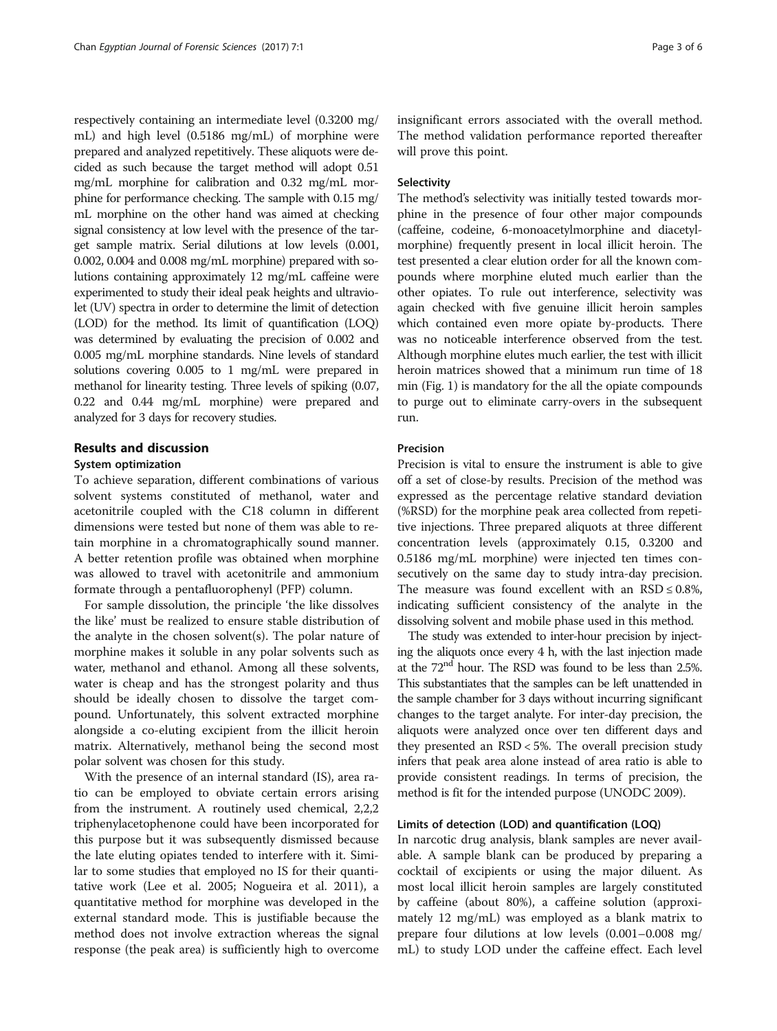respectively containing an intermediate level (0.3200 mg/ mL) and high level (0.5186 mg/mL) of morphine were prepared and analyzed repetitively. These aliquots were decided as such because the target method will adopt 0.51 mg/mL morphine for calibration and 0.32 mg/mL morphine for performance checking. The sample with 0.15 mg/ mL morphine on the other hand was aimed at checking signal consistency at low level with the presence of the target sample matrix. Serial dilutions at low levels (0.001, 0.002, 0.004 and 0.008 mg/mL morphine) prepared with solutions containing approximately 12 mg/mL caffeine were experimented to study their ideal peak heights and ultraviolet (UV) spectra in order to determine the limit of detection (LOD) for the method. Its limit of quantification (LOQ) was determined by evaluating the precision of 0.002 and 0.005 mg/mL morphine standards. Nine levels of standard solutions covering 0.005 to 1 mg/mL were prepared in methanol for linearity testing. Three levels of spiking (0.07, 0.22 and 0.44 mg/mL morphine) were prepared and analyzed for 3 days for recovery studies.

# Results and discussion

#### System optimization

To achieve separation, different combinations of various solvent systems constituted of methanol, water and acetonitrile coupled with the C18 column in different dimensions were tested but none of them was able to retain morphine in a chromatographically sound manner. A better retention profile was obtained when morphine was allowed to travel with acetonitrile and ammonium formate through a pentafluorophenyl (PFP) column.

For sample dissolution, the principle 'the like dissolves the like' must be realized to ensure stable distribution of the analyte in the chosen solvent(s). The polar nature of morphine makes it soluble in any polar solvents such as water, methanol and ethanol. Among all these solvents, water is cheap and has the strongest polarity and thus should be ideally chosen to dissolve the target compound. Unfortunately, this solvent extracted morphine alongside a co-eluting excipient from the illicit heroin matrix. Alternatively, methanol being the second most polar solvent was chosen for this study.

With the presence of an internal standard (IS), area ratio can be employed to obviate certain errors arising from the instrument. A routinely used chemical, 2,2,2 triphenylacetophenone could have been incorporated for this purpose but it was subsequently dismissed because the late eluting opiates tended to interfere with it. Similar to some studies that employed no IS for their quantitative work (Lee et al. [2005;](#page-5-0) Nogueira et al. [2011\)](#page-5-0), a quantitative method for morphine was developed in the external standard mode. This is justifiable because the method does not involve extraction whereas the signal response (the peak area) is sufficiently high to overcome insignificant errors associated with the overall method. The method validation performance reported thereafter will prove this point.

#### Selectivity

The method's selectivity was initially tested towards morphine in the presence of four other major compounds (caffeine, codeine, 6-monoacetylmorphine and diacetylmorphine) frequently present in local illicit heroin. The test presented a clear elution order for all the known compounds where morphine eluted much earlier than the other opiates. To rule out interference, selectivity was again checked with five genuine illicit heroin samples which contained even more opiate by-products. There was no noticeable interference observed from the test. Although morphine elutes much earlier, the test with illicit heroin matrices showed that a minimum run time of 18 min (Fig. [1](#page-3-0)) is mandatory for the all the opiate compounds to purge out to eliminate carry-overs in the subsequent run.

#### Precision

Precision is vital to ensure the instrument is able to give off a set of close-by results. Precision of the method was expressed as the percentage relative standard deviation (%RSD) for the morphine peak area collected from repetitive injections. Three prepared aliquots at three different concentration levels (approximately 0.15, 0.3200 and 0.5186 mg/mL morphine) were injected ten times consecutively on the same day to study intra-day precision. The measure was found excellent with an  $RSD \leq 0.8\%$ , indicating sufficient consistency of the analyte in the dissolving solvent and mobile phase used in this method.

The study was extended to inter-hour precision by injecting the aliquots once every 4 h, with the last injection made at the 72nd hour. The RSD was found to be less than 2.5%. This substantiates that the samples can be left unattended in the sample chamber for 3 days without incurring significant changes to the target analyte. For inter-day precision, the aliquots were analyzed once over ten different days and they presented an RSD < 5%. The overall precision study infers that peak area alone instead of area ratio is able to provide consistent readings. In terms of precision, the method is fit for the intended purpose (UNODC [2009\)](#page-5-0).

#### Limits of detection (LOD) and quantification (LOQ)

In narcotic drug analysis, blank samples are never available. A sample blank can be produced by preparing a cocktail of excipients or using the major diluent. As most local illicit heroin samples are largely constituted by caffeine (about 80%), a caffeine solution (approximately 12 mg/mL) was employed as a blank matrix to prepare four dilutions at low levels (0.001–0.008 mg/ mL) to study LOD under the caffeine effect. Each level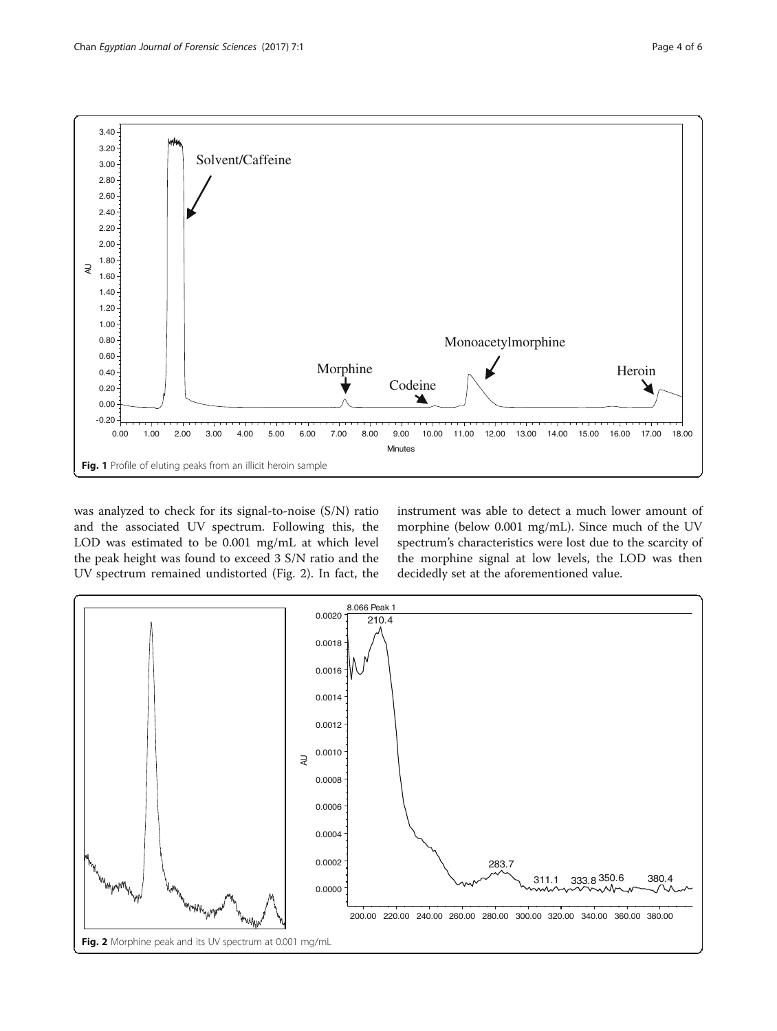<span id="page-3-0"></span>

was analyzed to check for its signal-to-noise (S/N) ratio and the associated UV spectrum. Following this, the LOD was estimated to be 0.001 mg/mL at which level the peak height was found to exceed 3 S/N ratio and the UV spectrum remained undistorted (Fig. 2). In fact, the instrument was able to detect a much lower amount of morphine (below 0.001 mg/mL). Since much of the UV spectrum's characteristics were lost due to the scarcity of the morphine signal at low levels, the LOD was then decidedly set at the aforementioned value.

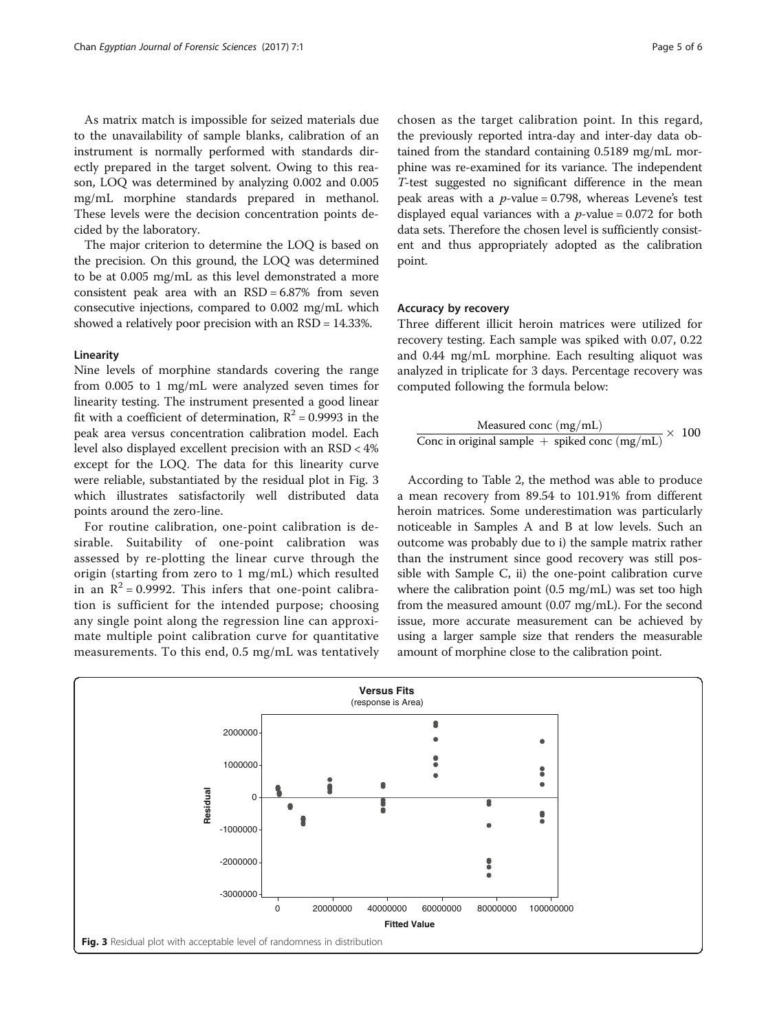As matrix match is impossible for seized materials due to the unavailability of sample blanks, calibration of an instrument is normally performed with standards directly prepared in the target solvent. Owing to this reason, LOQ was determined by analyzing 0.002 and 0.005 mg/mL morphine standards prepared in methanol. These levels were the decision concentration points decided by the laboratory.

The major criterion to determine the LOQ is based on the precision. On this ground, the LOQ was determined to be at 0.005 mg/mL as this level demonstrated a more consistent peak area with an  $RSD = 6.87\%$  from seven consecutive injections, compared to 0.002 mg/mL which showed a relatively poor precision with an RSD = 14.33%.

#### Linearity

Nine levels of morphine standards covering the range from 0.005 to 1 mg/mL were analyzed seven times for linearity testing. The instrument presented a good linear fit with a coefficient of determination,  $R^2 = 0.9993$  in the peak area versus concentration calibration model. Each level also displayed excellent precision with an RSD < 4% except for the LOQ. The data for this linearity curve were reliable, substantiated by the residual plot in Fig. 3 which illustrates satisfactorily well distributed data points around the zero-line.

For routine calibration, one-point calibration is desirable. Suitability of one-point calibration was assessed by re-plotting the linear curve through the origin (starting from zero to 1 mg/mL) which resulted in an  $R^2 = 0.9992$ . This infers that one-point calibration is sufficient for the intended purpose; choosing any single point along the regression line can approximate multiple point calibration curve for quantitative measurements. To this end, 0.5 mg/mL was tentatively chosen as the target calibration point. In this regard, the previously reported intra-day and inter-day data obtained from the standard containing 0.5189 mg/mL morphine was re-examined for its variance. The independent T-test suggested no significant difference in the mean peak areas with a  $p$ -value = 0.798, whereas Levene's test displayed equal variances with a  $p$ -value = 0.072 for both data sets. Therefore the chosen level is sufficiently consistent and thus appropriately adopted as the calibration point.

#### Accuracy by recovery

Three different illicit heroin matrices were utilized for recovery testing. Each sample was spiked with 0.07, 0.22 and 0.44 mg/mL morphine. Each resulting aliquot was analyzed in triplicate for 3 days. Percentage recovery was computed following the formula below:

$$
\frac{\text{Measured conc (mg/mL)}}{\text{Conc in original sample + spiked conc (mg/mL)}} \times \ 100
$$

According to Table [2,](#page-5-0) the method was able to produce a mean recovery from 89.54 to 101.91% from different heroin matrices. Some underestimation was particularly noticeable in Samples A and B at low levels. Such an outcome was probably due to i) the sample matrix rather than the instrument since good recovery was still possible with Sample C, ii) the one-point calibration curve where the calibration point (0.5 mg/mL) was set too high from the measured amount (0.07 mg/mL). For the second issue, more accurate measurement can be achieved by using a larger sample size that renders the measurable amount of morphine close to the calibration point.